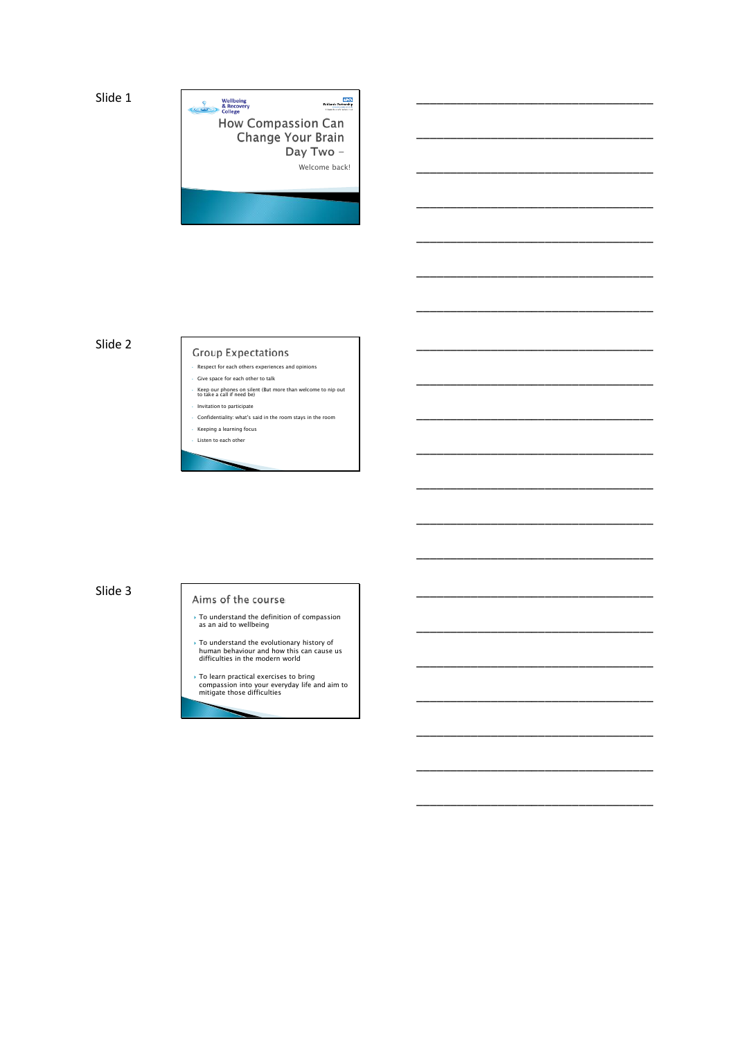

\_\_\_\_\_\_\_\_\_\_\_\_\_\_\_\_\_\_\_\_\_\_\_\_\_\_\_\_\_\_\_\_\_\_\_

\_\_\_\_\_\_\_\_\_\_\_\_\_\_\_\_\_\_\_\_\_\_\_\_\_\_\_\_\_\_\_\_\_\_\_

\_\_\_\_\_\_\_\_\_\_\_\_\_\_\_\_\_\_\_\_\_\_\_\_\_\_\_\_\_\_\_\_\_\_\_

\_\_\_\_\_\_\_\_\_\_\_\_\_\_\_\_\_\_\_\_\_\_\_\_\_\_\_\_\_\_\_\_\_\_\_

\_\_\_\_\_\_\_\_\_\_\_\_\_\_\_\_\_\_\_\_\_\_\_\_\_\_\_\_\_\_\_\_\_\_\_

\_\_\_\_\_\_\_\_\_\_\_\_\_\_\_\_\_\_\_\_\_\_\_\_\_\_\_\_\_\_\_\_\_\_\_

\_\_\_\_\_\_\_\_\_\_\_\_\_\_\_\_\_\_\_\_\_\_\_\_\_\_\_\_\_\_\_\_\_\_\_

\_\_\_\_\_\_\_\_\_\_\_\_\_\_\_\_\_\_\_\_\_\_\_\_\_\_\_\_\_\_\_\_\_\_\_

\_\_\_\_\_\_\_\_\_\_\_\_\_\_\_\_\_\_\_\_\_\_\_\_\_\_\_\_\_\_\_\_\_\_\_

\_\_\_\_\_\_\_\_\_\_\_\_\_\_\_\_\_\_\_\_\_\_\_\_\_\_\_\_\_\_\_\_\_\_\_

\_\_\_\_\_\_\_\_\_\_\_\_\_\_\_\_\_\_\_\_\_\_\_\_\_\_\_\_\_\_\_\_\_\_\_

\_\_\_\_\_\_\_\_\_\_\_\_\_\_\_\_\_\_\_\_\_\_\_\_\_\_\_\_\_\_\_\_\_\_\_

\_\_\_\_\_\_\_\_\_\_\_\_\_\_\_\_\_\_\_\_\_\_\_\_\_\_\_\_\_\_\_\_\_\_\_

\_\_\_\_\_\_\_\_\_\_\_\_\_\_\_\_\_\_\_\_\_\_\_\_\_\_\_\_\_\_\_\_\_\_\_

\_\_\_\_\_\_\_\_\_\_\_\_\_\_\_\_\_\_\_\_\_\_\_\_\_\_\_\_\_\_\_\_\_\_\_

\_\_\_\_\_\_\_\_\_\_\_\_\_\_\_\_\_\_\_\_\_\_\_\_\_\_\_\_\_\_\_\_\_\_\_

\_\_\_\_\_\_\_\_\_\_\_\_\_\_\_\_\_\_\_\_\_\_\_\_\_\_\_\_\_\_\_\_\_\_\_

\_\_\_\_\_\_\_\_\_\_\_\_\_\_\_\_\_\_\_\_\_\_\_\_\_\_\_\_\_\_\_\_\_\_\_

\_\_\_\_\_\_\_\_\_\_\_\_\_\_\_\_\_\_\_\_\_\_\_\_\_\_\_\_\_\_\_\_\_\_\_

\_\_\_\_\_\_\_\_\_\_\_\_\_\_\_\_\_\_\_\_\_\_\_\_\_\_\_\_\_\_\_\_\_\_\_

\_\_\_\_\_\_\_\_\_\_\_\_\_\_\_\_\_\_\_\_\_\_\_\_\_\_\_\_\_\_\_\_\_\_\_

Slide 2

# **Group Expectations**

- Respect for each others experiences and opinions Give space for each other to talk
- 
- Keep our phones on silent (But more than welcome to nip out to take a call if need be) Invitation to participate
- Confidentiality: what's said in the room stays in the room
- Keeping a learning focus
- Listen to each other

## Slide 3

#### Aims of the course

- To understand the definition of compassion as an aid to wellbeing
- $\triangleright$  To understand the evolutionary history of<br>human behaviour and how this can cause us<br>difficulties in the modern world
- To learn practical exercises to bring compassion into your everyday life and aim to mitigate those difficulties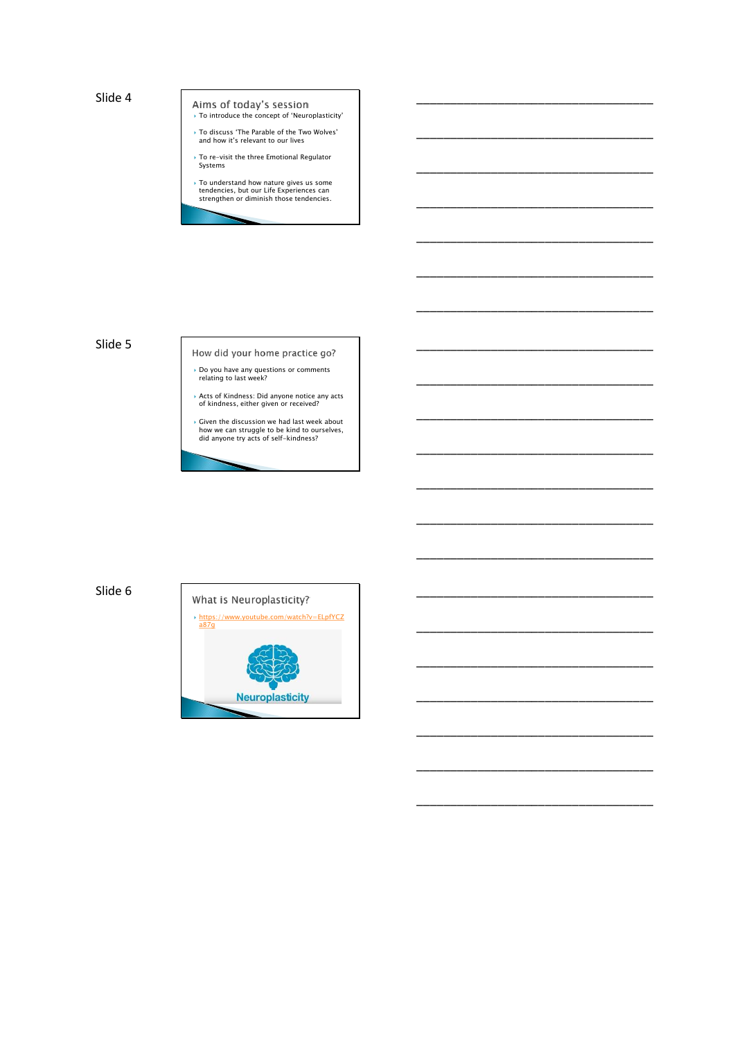Aims of today's session<br> $\rightarrow$  To introduce the concept of 'Neuroplasticity'

\_\_\_\_\_\_\_\_\_\_\_\_\_\_\_\_\_\_\_\_\_\_\_\_\_\_\_\_\_\_\_\_\_\_\_

\_\_\_\_\_\_\_\_\_\_\_\_\_\_\_\_\_\_\_\_\_\_\_\_\_\_\_\_\_\_\_\_\_\_\_

\_\_\_\_\_\_\_\_\_\_\_\_\_\_\_\_\_\_\_\_\_\_\_\_\_\_\_\_\_\_\_\_\_\_\_

\_\_\_\_\_\_\_\_\_\_\_\_\_\_\_\_\_\_\_\_\_\_\_\_\_\_\_\_\_\_\_\_\_\_\_

\_\_\_\_\_\_\_\_\_\_\_\_\_\_\_\_\_\_\_\_\_\_\_\_\_\_\_\_\_\_\_\_\_\_\_

\_\_\_\_\_\_\_\_\_\_\_\_\_\_\_\_\_\_\_\_\_\_\_\_\_\_\_\_\_\_\_\_\_\_\_

\_\_\_\_\_\_\_\_\_\_\_\_\_\_\_\_\_\_\_\_\_\_\_\_\_\_\_\_\_\_\_\_\_\_\_

\_\_\_\_\_\_\_\_\_\_\_\_\_\_\_\_\_\_\_\_\_\_\_\_\_\_\_\_\_\_\_\_\_\_\_

\_\_\_\_\_\_\_\_\_\_\_\_\_\_\_\_\_\_\_\_\_\_\_\_\_\_\_\_\_\_\_\_\_\_\_

\_\_\_\_\_\_\_\_\_\_\_\_\_\_\_\_\_\_\_\_\_\_\_\_\_\_\_\_\_\_\_\_\_\_\_

\_\_\_\_\_\_\_\_\_\_\_\_\_\_\_\_\_\_\_\_\_\_\_\_\_\_\_\_\_\_\_\_\_\_\_

\_\_\_\_\_\_\_\_\_\_\_\_\_\_\_\_\_\_\_\_\_\_\_\_\_\_\_\_\_\_\_\_\_\_\_

\_\_\_\_\_\_\_\_\_\_\_\_\_\_\_\_\_\_\_\_\_\_\_\_\_\_\_\_\_\_\_\_\_\_\_

\_\_\_\_\_\_\_\_\_\_\_\_\_\_\_\_\_\_\_\_\_\_\_\_\_\_\_\_\_\_\_\_\_\_\_

\_\_\_\_\_\_\_\_\_\_\_\_\_\_\_\_\_\_\_\_\_\_\_\_\_\_\_\_\_\_\_\_\_\_\_

\_\_\_\_\_\_\_\_\_\_\_\_\_\_\_\_\_\_\_\_\_\_\_\_\_\_\_\_\_\_\_\_\_\_\_

\_\_\_\_\_\_\_\_\_\_\_\_\_\_\_\_\_\_\_\_\_\_\_\_\_\_\_\_\_\_\_\_\_\_\_

\_\_\_\_\_\_\_\_\_\_\_\_\_\_\_\_\_\_\_\_\_\_\_\_\_\_\_\_\_\_\_\_\_\_\_

\_\_\_\_\_\_\_\_\_\_\_\_\_\_\_\_\_\_\_\_\_\_\_\_\_\_\_\_\_\_\_\_\_\_\_

\_\_\_\_\_\_\_\_\_\_\_\_\_\_\_\_\_\_\_\_\_\_\_\_\_\_\_\_\_\_\_\_\_\_\_

\_\_\_\_\_\_\_\_\_\_\_\_\_\_\_\_\_\_\_\_\_\_\_\_\_\_\_\_\_\_\_\_\_\_\_

- To discuss 'The Parable of the Two Wolves' and how it's relevant to our lives
- To re-visit the three Emotional Regulator Systems
- To understand how nature gives us some tendencies, but our Life Experiences can strengthen or diminish those tendencies.

#### Slide 5

- How did your home practice go?
- Do you have any questions or comments relating to last week?
- Acts of Kindness: Did anyone notice any acts of kindness, either given or received?
- Given the discussion we had last week about how we can struggle to be kind to ourselves, did anyone try acts of self-kindness?

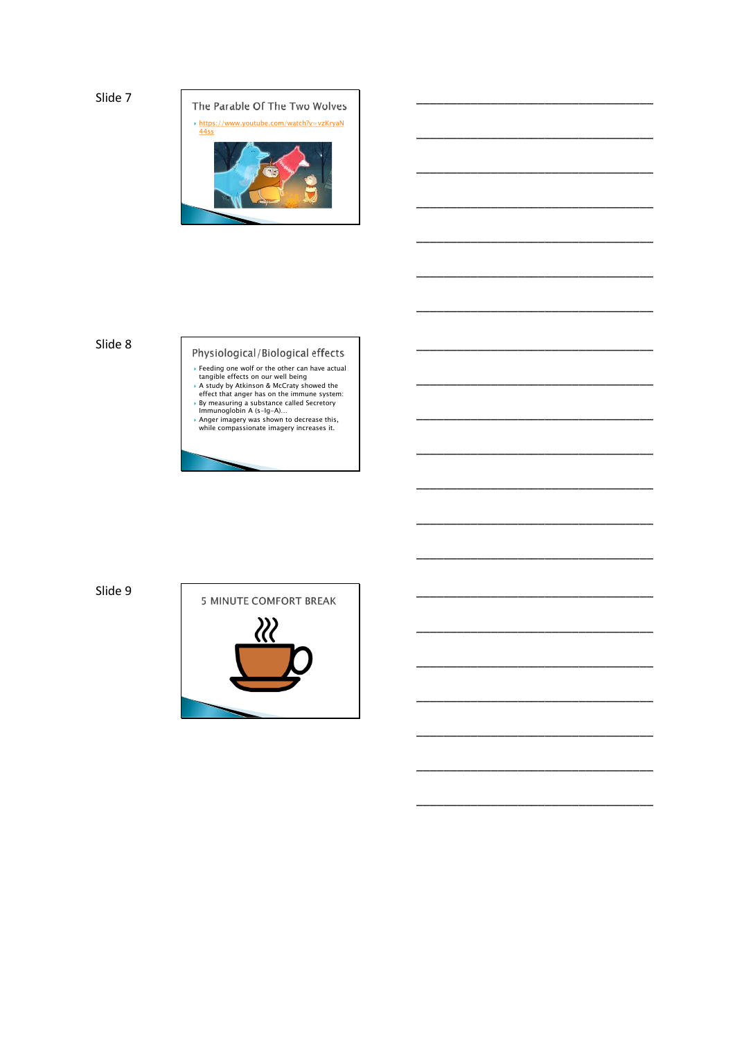

#### Slide 8

# Physiological/Biological effects Five Since of orthodoxide and the standard and the standard day by Akkinson & McCraty showed the effect that anger has on the immune system:<br>By measuring a substance called Secretory and the effect that anger has on the im

- 
- 

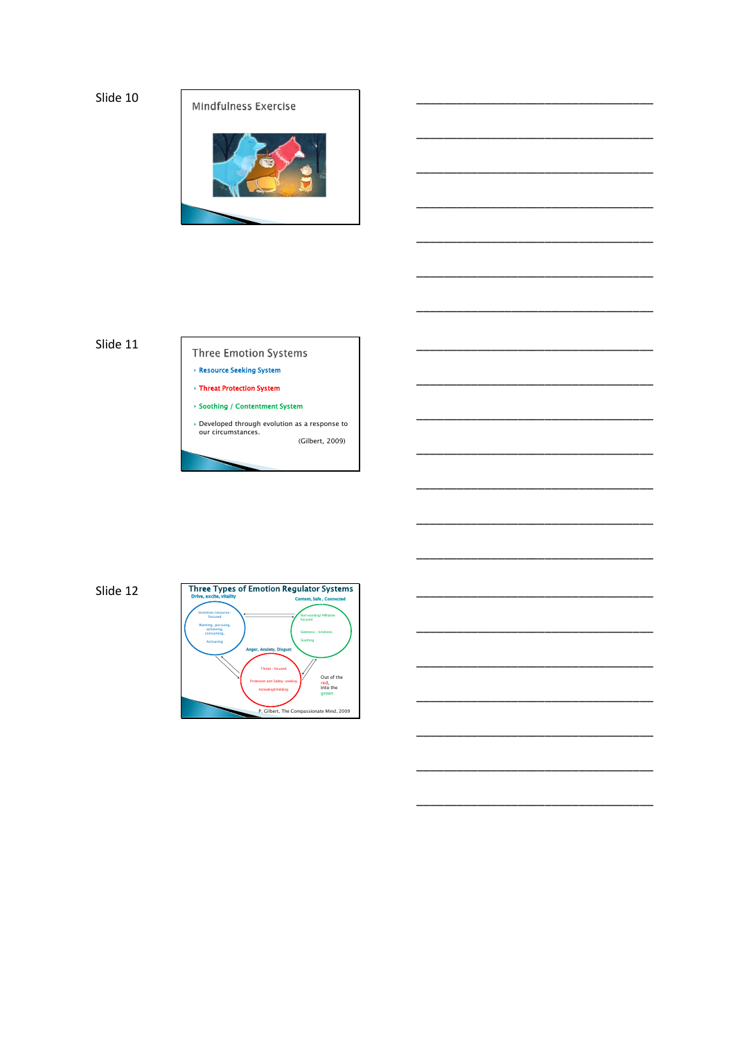

\_\_\_\_\_\_\_\_\_\_\_\_\_\_\_\_\_\_\_\_\_\_\_\_\_\_\_\_\_\_\_\_\_\_\_

\_\_\_\_\_\_\_\_\_\_\_\_\_\_\_\_\_\_\_\_\_\_\_\_\_\_\_\_\_\_\_\_\_\_\_

\_\_\_\_\_\_\_\_\_\_\_\_\_\_\_\_\_\_\_\_\_\_\_\_\_\_\_\_\_\_\_\_\_\_\_

\_\_\_\_\_\_\_\_\_\_\_\_\_\_\_\_\_\_\_\_\_\_\_\_\_\_\_\_\_\_\_\_\_\_\_

\_\_\_\_\_\_\_\_\_\_\_\_\_\_\_\_\_\_\_\_\_\_\_\_\_\_\_\_\_\_\_\_\_\_\_

\_\_\_\_\_\_\_\_\_\_\_\_\_\_\_\_\_\_\_\_\_\_\_\_\_\_\_\_\_\_\_\_\_\_\_

\_\_\_\_\_\_\_\_\_\_\_\_\_\_\_\_\_\_\_\_\_\_\_\_\_\_\_\_\_\_\_\_\_\_\_

\_\_\_\_\_\_\_\_\_\_\_\_\_\_\_\_\_\_\_\_\_\_\_\_\_\_\_\_\_\_\_\_\_\_\_

\_\_\_\_\_\_\_\_\_\_\_\_\_\_\_\_\_\_\_\_\_\_\_\_\_\_\_\_\_\_\_\_\_\_\_

\_\_\_\_\_\_\_\_\_\_\_\_\_\_\_\_\_\_\_\_\_\_\_\_\_\_\_\_\_\_\_\_\_\_\_

\_\_\_\_\_\_\_\_\_\_\_\_\_\_\_\_\_\_\_\_\_\_\_\_\_\_\_\_\_\_\_\_\_\_\_

\_\_\_\_\_\_\_\_\_\_\_\_\_\_\_\_\_\_\_\_\_\_\_\_\_\_\_\_\_\_\_\_\_\_\_

\_\_\_\_\_\_\_\_\_\_\_\_\_\_\_\_\_\_\_\_\_\_\_\_\_\_\_\_\_\_\_\_\_\_\_

\_\_\_\_\_\_\_\_\_\_\_\_\_\_\_\_\_\_\_\_\_\_\_\_\_\_\_\_\_\_\_\_\_\_\_

\_\_\_\_\_\_\_\_\_\_\_\_\_\_\_\_\_\_\_\_\_\_\_\_\_\_\_\_\_\_\_\_\_\_\_

\_\_\_\_\_\_\_\_\_\_\_\_\_\_\_\_\_\_\_\_\_\_\_\_\_\_\_\_\_\_\_\_\_\_\_

\_\_\_\_\_\_\_\_\_\_\_\_\_\_\_\_\_\_\_\_\_\_\_\_\_\_\_\_\_\_\_\_\_\_\_

\_\_\_\_\_\_\_\_\_\_\_\_\_\_\_\_\_\_\_\_\_\_\_\_\_\_\_\_\_\_\_\_\_\_\_

\_\_\_\_\_\_\_\_\_\_\_\_\_\_\_\_\_\_\_\_\_\_\_\_\_\_\_\_\_\_\_\_\_\_\_

\_\_\_\_\_\_\_\_\_\_\_\_\_\_\_\_\_\_\_\_\_\_\_\_\_\_\_\_\_\_\_\_\_\_\_

## Slide 11

**Three Emotion Systems**  Resource Seeking System Threat Protection System Soothing / Contentment System

 Developed through evolution as a response to our circumstances. (Gilbert, 2009)

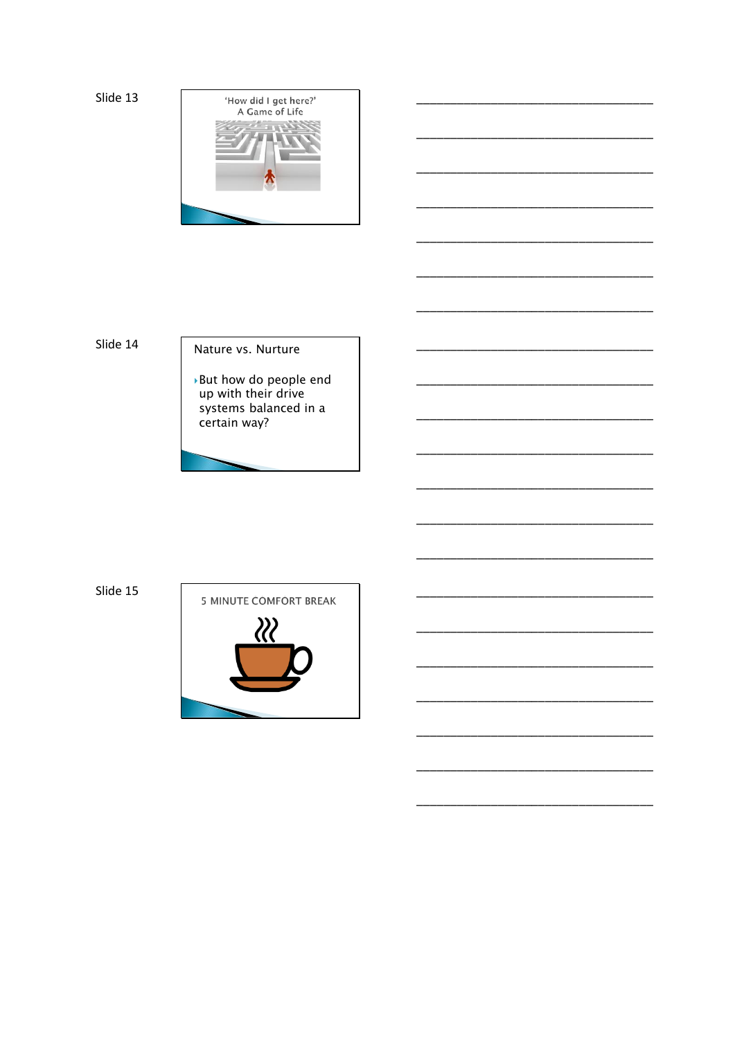

Slide 14

#### Nature vs. Nurture

▶ But how do people end up with their drive systems balanced in a<br>certain way?

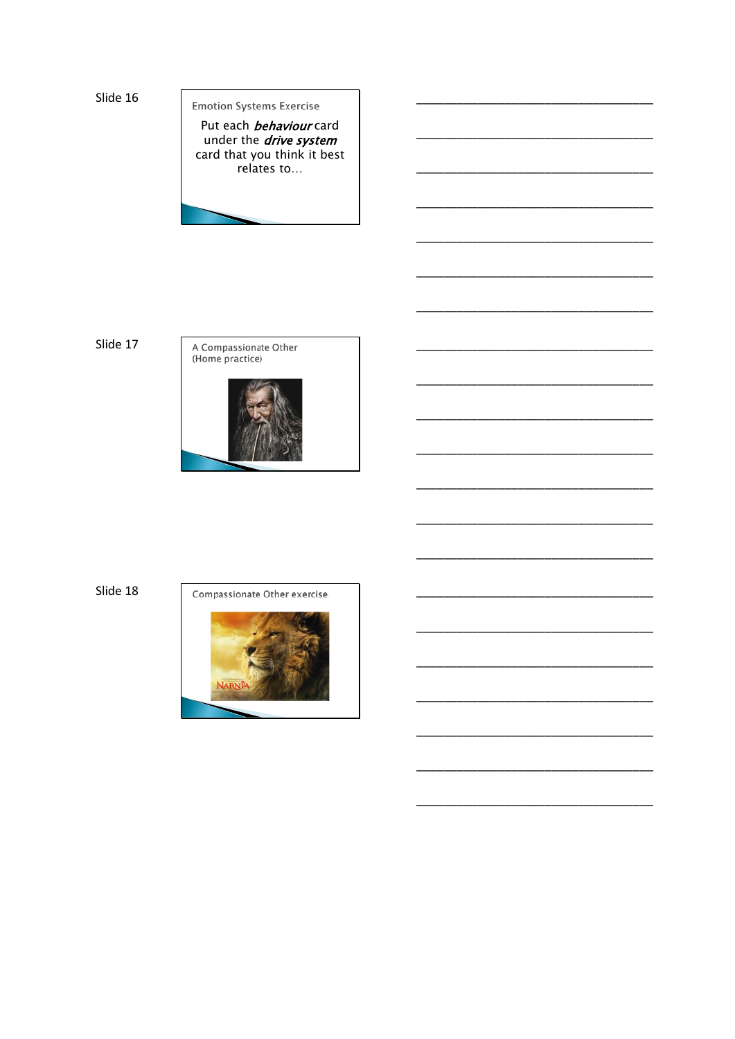**Emotion Systems Exercise** 

Put each behaviour card under the *drive system* card that you think it best relates to...

Slide 17